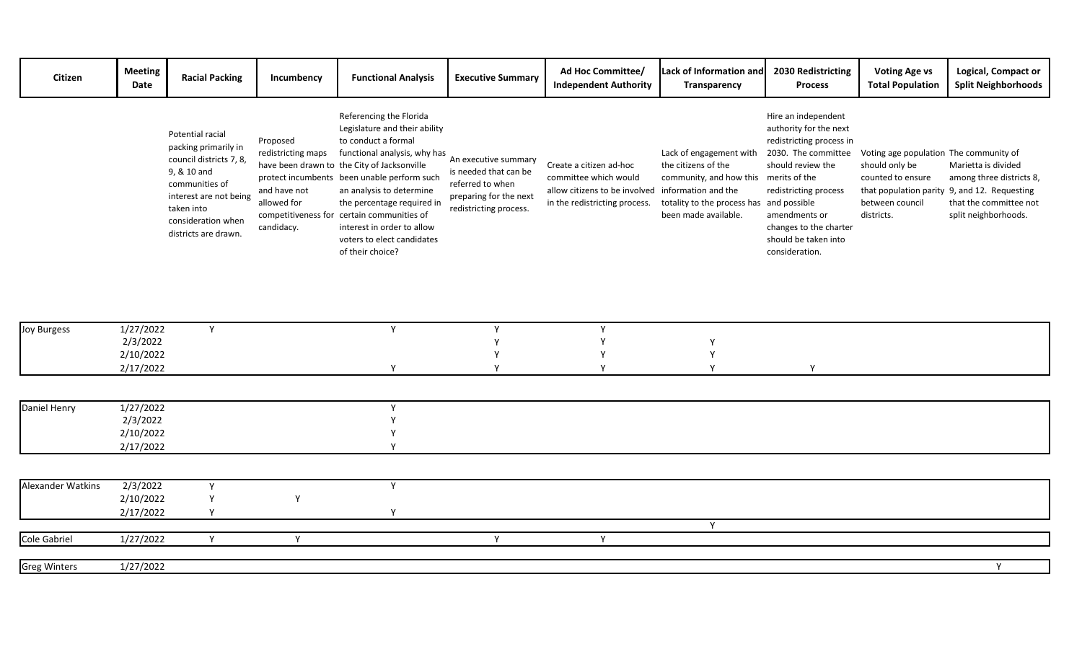| Citizen                  | <b>Meeting</b><br>Date                          | <b>Racial Packing</b>                                                                                                                                                                      | Incumbency                                                                  | <b>Functional Analysis</b>                                                                                                                                                                                                                                                                                                                                                                            | <b>Executive Summary</b>                                                                                              | Ad Hoc Committee/<br><b>Independent Authority</b>                                                                  | Lack of Information and<br>Transparency                                                                                                                                            | 2030 Redistricting<br><b>Process</b>                                                                                                                                                                                                | <b>Voting Age vs</b><br><b>Total Population</b>                                                                | Logical, Compact or<br><b>Split Neighborhoods</b>                                                                                                 |
|--------------------------|-------------------------------------------------|--------------------------------------------------------------------------------------------------------------------------------------------------------------------------------------------|-----------------------------------------------------------------------------|-------------------------------------------------------------------------------------------------------------------------------------------------------------------------------------------------------------------------------------------------------------------------------------------------------------------------------------------------------------------------------------------------------|-----------------------------------------------------------------------------------------------------------------------|--------------------------------------------------------------------------------------------------------------------|------------------------------------------------------------------------------------------------------------------------------------------------------------------------------------|-------------------------------------------------------------------------------------------------------------------------------------------------------------------------------------------------------------------------------------|----------------------------------------------------------------------------------------------------------------|---------------------------------------------------------------------------------------------------------------------------------------------------|
|                          |                                                 | Potential racial<br>packing primarily in<br>council districts 7, 8,<br>9, & 10 and<br>communities of<br>interest are not being<br>taken into<br>consideration when<br>districts are drawn. | Proposed<br>redistricting maps<br>and have not<br>allowed for<br>candidacy. | Referencing the Florida<br>Legislature and their ability<br>to conduct a formal<br>functional analysis, why has<br>have been drawn to the City of Jacksonville<br>protect incumbents been unable perform such<br>an analysis to determine<br>the percentage required in<br>competitiveness for certain communities of<br>interest in order to allow<br>voters to elect candidates<br>of their choice? | An executive summary<br>is needed that can be<br>referred to when<br>preparing for the next<br>redistricting process. | Create a citizen ad-hoc<br>committee which would<br>allow citizens to be involved<br>in the redistricting process. | Lack of engagement with<br>the citizens of the<br>community, and how this merits of the<br>information and the<br>totality to the process has and possible<br>been made available. | Hire an independent<br>authority for the next<br>redistricting process in<br>2030. The committee<br>should review the<br>redistricting process<br>amendments or<br>changes to the charter<br>should be taken into<br>consideration. | Voting age population The community of<br>should only be<br>counted to ensure<br>between council<br>districts. | Marietta is divided<br>among three districts 8,<br>that population parity 9, and 12. Requesting<br>that the committee not<br>split neighborhoods. |
|                          |                                                 |                                                                                                                                                                                            |                                                                             |                                                                                                                                                                                                                                                                                                                                                                                                       |                                                                                                                       |                                                                                                                    |                                                                                                                                                                                    |                                                                                                                                                                                                                                     |                                                                                                                |                                                                                                                                                   |
| <b>Joy Burgess</b>       | 1/27/2022<br>2/3/2022<br>2/10/2022<br>2/17/2022 | Y                                                                                                                                                                                          |                                                                             | Y<br>$\mathsf{v}$                                                                                                                                                                                                                                                                                                                                                                                     | Y<br>$\mathsf{v}$                                                                                                     | Y<br>Y<br>$\mathsf{v}$                                                                                             | Y<br>Y<br>$\mathsf{v}$                                                                                                                                                             | $\mathsf{v}$                                                                                                                                                                                                                        |                                                                                                                |                                                                                                                                                   |
|                          |                                                 |                                                                                                                                                                                            |                                                                             |                                                                                                                                                                                                                                                                                                                                                                                                       |                                                                                                                       |                                                                                                                    |                                                                                                                                                                                    |                                                                                                                                                                                                                                     |                                                                                                                |                                                                                                                                                   |
| Daniel Henry             | 1/27/2022<br>2/3/2022<br>2/10/2022<br>2/17/2022 |                                                                                                                                                                                            |                                                                             | Y                                                                                                                                                                                                                                                                                                                                                                                                     |                                                                                                                       |                                                                                                                    |                                                                                                                                                                                    |                                                                                                                                                                                                                                     |                                                                                                                |                                                                                                                                                   |
|                          |                                                 |                                                                                                                                                                                            |                                                                             |                                                                                                                                                                                                                                                                                                                                                                                                       |                                                                                                                       |                                                                                                                    |                                                                                                                                                                                    |                                                                                                                                                                                                                                     |                                                                                                                |                                                                                                                                                   |
| <b>Alexander Watkins</b> | 2/3/2022<br>2/10/2022<br>2/17/2022              | Y<br>Υ<br>Y                                                                                                                                                                                | Y                                                                           | Y<br>Y                                                                                                                                                                                                                                                                                                                                                                                                |                                                                                                                       |                                                                                                                    |                                                                                                                                                                                    |                                                                                                                                                                                                                                     |                                                                                                                |                                                                                                                                                   |
| <b>Cole Gabriel</b>      | 1/27/2022                                       | Y                                                                                                                                                                                          | Y                                                                           |                                                                                                                                                                                                                                                                                                                                                                                                       | <b>V</b>                                                                                                              | Y                                                                                                                  | Y                                                                                                                                                                                  |                                                                                                                                                                                                                                     |                                                                                                                |                                                                                                                                                   |
| <b>Greg Winters</b>      | 1/27/2022                                       |                                                                                                                                                                                            |                                                                             |                                                                                                                                                                                                                                                                                                                                                                                                       |                                                                                                                       |                                                                                                                    |                                                                                                                                                                                    |                                                                                                                                                                                                                                     |                                                                                                                | <b>Y</b>                                                                                                                                          |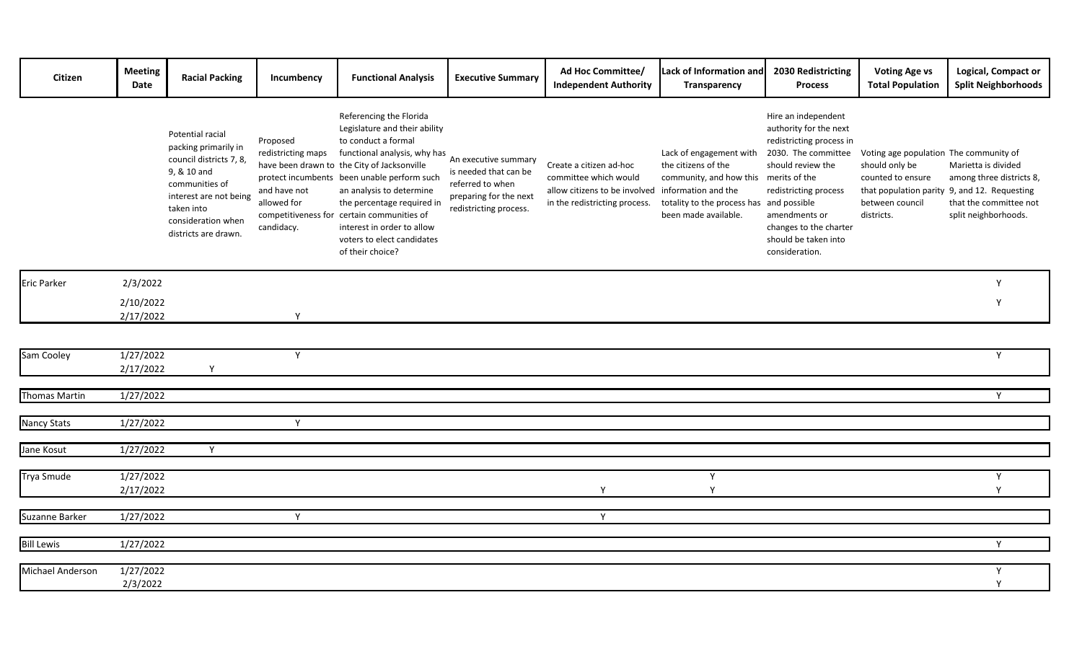| Citizen              | <b>Meeting</b><br>Date | <b>Racial Packing</b>                                                                                                                                                                      | Incumbency                                                                  | <b>Functional Analysis</b>                                                                                                                                                                                                                                                                                                                                                                            | <b>Executive Summary</b>                                                                                              | Ad Hoc Committee/<br><b>Independent Authority</b>                                                                  | Lack of Information and<br>Transparency                                                                                                                              | 2030 Redistricting<br><b>Process</b>                                                                                                                                                                                                                 | <b>Voting Age vs</b><br><b>Total Population</b>                                                                | Logical, Compact or<br><b>Split Neighborhoods</b>                                                                                                 |
|----------------------|------------------------|--------------------------------------------------------------------------------------------------------------------------------------------------------------------------------------------|-----------------------------------------------------------------------------|-------------------------------------------------------------------------------------------------------------------------------------------------------------------------------------------------------------------------------------------------------------------------------------------------------------------------------------------------------------------------------------------------------|-----------------------------------------------------------------------------------------------------------------------|--------------------------------------------------------------------------------------------------------------------|----------------------------------------------------------------------------------------------------------------------------------------------------------------------|------------------------------------------------------------------------------------------------------------------------------------------------------------------------------------------------------------------------------------------------------|----------------------------------------------------------------------------------------------------------------|---------------------------------------------------------------------------------------------------------------------------------------------------|
|                      |                        | Potential racial<br>packing primarily in<br>council districts 7, 8,<br>9, & 10 and<br>communities of<br>interest are not being<br>taken into<br>consideration when<br>districts are drawn. | Proposed<br>redistricting maps<br>and have not<br>allowed for<br>candidacy. | Referencing the Florida<br>Legislature and their ability<br>to conduct a formal<br>functional analysis, why has<br>have been drawn to the City of Jacksonville<br>protect incumbents been unable perform such<br>an analysis to determine<br>the percentage required in<br>competitiveness for certain communities of<br>interest in order to allow<br>voters to elect candidates<br>of their choice? | An executive summary<br>is needed that can be<br>referred to when<br>preparing for the next<br>redistricting process. | Create a citizen ad-hoc<br>committee which would<br>allow citizens to be involved<br>in the redistricting process. | Lack of engagement with<br>the citizens of the<br>community, and how this<br>information and the<br>totality to the process has and possible<br>been made available. | Hire an independent<br>authority for the next<br>redistricting process in<br>2030. The committee<br>should review the<br>merits of the<br>redistricting process<br>amendments or<br>changes to the charter<br>should be taken into<br>consideration. | Voting age population The community of<br>should only be<br>counted to ensure<br>between council<br>districts. | Marietta is divided<br>among three districts 8,<br>that population parity 9, and 12. Requesting<br>that the committee not<br>split neighborhoods. |
| <b>Eric Parker</b>   | 2/3/2022               |                                                                                                                                                                                            |                                                                             |                                                                                                                                                                                                                                                                                                                                                                                                       |                                                                                                                       |                                                                                                                    |                                                                                                                                                                      |                                                                                                                                                                                                                                                      |                                                                                                                | Y                                                                                                                                                 |
|                      | 2/10/2022<br>2/17/2022 |                                                                                                                                                                                            | Y                                                                           |                                                                                                                                                                                                                                                                                                                                                                                                       |                                                                                                                       |                                                                                                                    |                                                                                                                                                                      |                                                                                                                                                                                                                                                      |                                                                                                                | Y                                                                                                                                                 |
|                      |                        |                                                                                                                                                                                            |                                                                             |                                                                                                                                                                                                                                                                                                                                                                                                       |                                                                                                                       |                                                                                                                    |                                                                                                                                                                      |                                                                                                                                                                                                                                                      |                                                                                                                |                                                                                                                                                   |
| Sam Cooley           | 1/27/2022<br>2/17/2022 | Y                                                                                                                                                                                          | Y                                                                           |                                                                                                                                                                                                                                                                                                                                                                                                       |                                                                                                                       |                                                                                                                    |                                                                                                                                                                      |                                                                                                                                                                                                                                                      |                                                                                                                | Y                                                                                                                                                 |
| <b>Thomas Martin</b> | 1/27/2022              |                                                                                                                                                                                            |                                                                             |                                                                                                                                                                                                                                                                                                                                                                                                       |                                                                                                                       |                                                                                                                    |                                                                                                                                                                      |                                                                                                                                                                                                                                                      |                                                                                                                | Y                                                                                                                                                 |
| Nancy Stats          | 1/27/2022              |                                                                                                                                                                                            | Y                                                                           |                                                                                                                                                                                                                                                                                                                                                                                                       |                                                                                                                       |                                                                                                                    |                                                                                                                                                                      |                                                                                                                                                                                                                                                      |                                                                                                                |                                                                                                                                                   |
| Jane Kosut           | 1/27/2022              | Y                                                                                                                                                                                          |                                                                             |                                                                                                                                                                                                                                                                                                                                                                                                       |                                                                                                                       |                                                                                                                    |                                                                                                                                                                      |                                                                                                                                                                                                                                                      |                                                                                                                |                                                                                                                                                   |
| <b>Trya Smude</b>    | 1/27/2022<br>2/17/2022 |                                                                                                                                                                                            |                                                                             |                                                                                                                                                                                                                                                                                                                                                                                                       |                                                                                                                       | Y                                                                                                                  | Y<br>Y                                                                                                                                                               |                                                                                                                                                                                                                                                      |                                                                                                                | Y<br>Y                                                                                                                                            |
| Suzanne Barker       | 1/27/2022              |                                                                                                                                                                                            | Y                                                                           |                                                                                                                                                                                                                                                                                                                                                                                                       |                                                                                                                       | Y                                                                                                                  |                                                                                                                                                                      |                                                                                                                                                                                                                                                      |                                                                                                                |                                                                                                                                                   |
| <b>Bill Lewis</b>    | 1/27/2022              |                                                                                                                                                                                            |                                                                             |                                                                                                                                                                                                                                                                                                                                                                                                       |                                                                                                                       |                                                                                                                    |                                                                                                                                                                      |                                                                                                                                                                                                                                                      |                                                                                                                | Y                                                                                                                                                 |
| Michael Anderson     | 1/27/2022<br>2/3/2022  |                                                                                                                                                                                            |                                                                             |                                                                                                                                                                                                                                                                                                                                                                                                       |                                                                                                                       |                                                                                                                    |                                                                                                                                                                      |                                                                                                                                                                                                                                                      |                                                                                                                | Υ<br>Y                                                                                                                                            |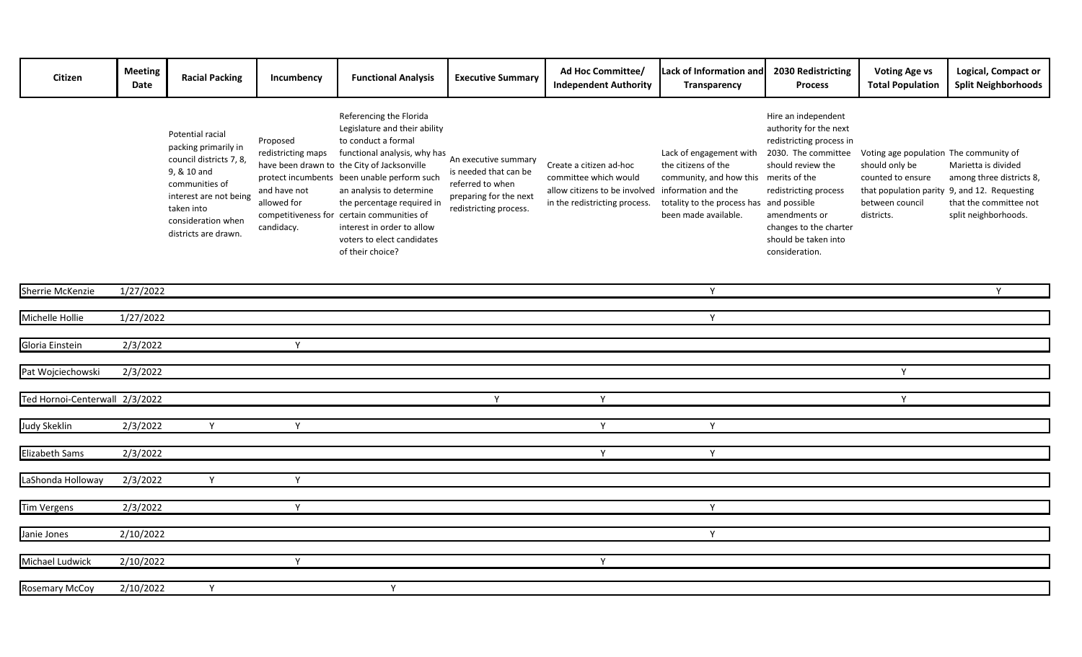| Citizen                        | <b>Meeting</b><br>Date | <b>Racial Packing</b>                                                                                                                                                                      | Incumbency                                                                  | <b>Functional Analysis</b>                                                                                                                                                                                                                                                                                                                                                                            | <b>Executive Summary</b>                                                                                              | Ad Hoc Committee/<br><b>Independent Authority</b>                                                                  | Lack of Information and<br>Transparency                                                                                                                                            | 2030 Redistricting<br><b>Process</b>                                                                                                                                                                                                | <b>Voting Age vs</b><br><b>Total Population</b>                                                                | Logical, Compact or<br><b>Split Neighborhoods</b>                                                                                                 |
|--------------------------------|------------------------|--------------------------------------------------------------------------------------------------------------------------------------------------------------------------------------------|-----------------------------------------------------------------------------|-------------------------------------------------------------------------------------------------------------------------------------------------------------------------------------------------------------------------------------------------------------------------------------------------------------------------------------------------------------------------------------------------------|-----------------------------------------------------------------------------------------------------------------------|--------------------------------------------------------------------------------------------------------------------|------------------------------------------------------------------------------------------------------------------------------------------------------------------------------------|-------------------------------------------------------------------------------------------------------------------------------------------------------------------------------------------------------------------------------------|----------------------------------------------------------------------------------------------------------------|---------------------------------------------------------------------------------------------------------------------------------------------------|
|                                |                        | Potential racial<br>packing primarily in<br>council districts 7, 8,<br>9, & 10 and<br>communities of<br>interest are not being<br>taken into<br>consideration when<br>districts are drawn. | Proposed<br>redistricting maps<br>and have not<br>allowed for<br>candidacy. | Referencing the Florida<br>Legislature and their ability<br>to conduct a formal<br>functional analysis, why has<br>have been drawn to the City of Jacksonville<br>protect incumbents been unable perform such<br>an analysis to determine<br>the percentage required in<br>competitiveness for certain communities of<br>interest in order to allow<br>voters to elect candidates<br>of their choice? | An executive summary<br>is needed that can be<br>referred to when<br>preparing for the next<br>redistricting process. | Create a citizen ad-hoc<br>committee which would<br>allow citizens to be involved<br>in the redistricting process. | Lack of engagement with<br>the citizens of the<br>community, and how this merits of the<br>information and the<br>totality to the process has and possible<br>been made available. | Hire an independent<br>authority for the next<br>redistricting process in<br>2030. The committee<br>should review the<br>redistricting process<br>amendments or<br>changes to the charter<br>should be taken into<br>consideration. | Voting age population The community of<br>should only be<br>counted to ensure<br>between council<br>districts. | Marietta is divided<br>among three districts 8,<br>that population parity 9, and 12. Requesting<br>that the committee not<br>split neighborhoods. |
| Sherrie McKenzie               | 1/27/2022              |                                                                                                                                                                                            |                                                                             |                                                                                                                                                                                                                                                                                                                                                                                                       |                                                                                                                       |                                                                                                                    | Y                                                                                                                                                                                  |                                                                                                                                                                                                                                     |                                                                                                                | $\mathsf{Y}$                                                                                                                                      |
| Michelle Hollie                | 1/27/2022              |                                                                                                                                                                                            |                                                                             |                                                                                                                                                                                                                                                                                                                                                                                                       |                                                                                                                       |                                                                                                                    | Y                                                                                                                                                                                  |                                                                                                                                                                                                                                     |                                                                                                                |                                                                                                                                                   |
|                                |                        |                                                                                                                                                                                            |                                                                             |                                                                                                                                                                                                                                                                                                                                                                                                       |                                                                                                                       |                                                                                                                    |                                                                                                                                                                                    |                                                                                                                                                                                                                                     |                                                                                                                |                                                                                                                                                   |
| Gloria Einstein                | 2/3/2022               |                                                                                                                                                                                            | Y                                                                           |                                                                                                                                                                                                                                                                                                                                                                                                       |                                                                                                                       |                                                                                                                    |                                                                                                                                                                                    |                                                                                                                                                                                                                                     |                                                                                                                |                                                                                                                                                   |
| Pat Wojciechowski              | 2/3/2022               |                                                                                                                                                                                            |                                                                             |                                                                                                                                                                                                                                                                                                                                                                                                       |                                                                                                                       |                                                                                                                    |                                                                                                                                                                                    |                                                                                                                                                                                                                                     | Y                                                                                                              |                                                                                                                                                   |
|                                |                        |                                                                                                                                                                                            |                                                                             |                                                                                                                                                                                                                                                                                                                                                                                                       |                                                                                                                       |                                                                                                                    |                                                                                                                                                                                    |                                                                                                                                                                                                                                     |                                                                                                                |                                                                                                                                                   |
| Ted Hornoi-Centerwall 2/3/2022 |                        |                                                                                                                                                                                            |                                                                             |                                                                                                                                                                                                                                                                                                                                                                                                       | $\mathsf{Y}$                                                                                                          | Y                                                                                                                  |                                                                                                                                                                                    |                                                                                                                                                                                                                                     | Y                                                                                                              |                                                                                                                                                   |
| <b>Judy Skeklin</b>            | 2/3/2022               | Y                                                                                                                                                                                          | Y                                                                           |                                                                                                                                                                                                                                                                                                                                                                                                       |                                                                                                                       | Y                                                                                                                  | Y                                                                                                                                                                                  |                                                                                                                                                                                                                                     |                                                                                                                |                                                                                                                                                   |
|                                |                        |                                                                                                                                                                                            |                                                                             |                                                                                                                                                                                                                                                                                                                                                                                                       |                                                                                                                       |                                                                                                                    |                                                                                                                                                                                    |                                                                                                                                                                                                                                     |                                                                                                                |                                                                                                                                                   |
| <b>Elizabeth Sams</b>          | 2/3/2022               |                                                                                                                                                                                            |                                                                             |                                                                                                                                                                                                                                                                                                                                                                                                       |                                                                                                                       | Y                                                                                                                  | Y                                                                                                                                                                                  |                                                                                                                                                                                                                                     |                                                                                                                |                                                                                                                                                   |
| LaShonda Holloway              | 2/3/2022               | Y                                                                                                                                                                                          | Y                                                                           |                                                                                                                                                                                                                                                                                                                                                                                                       |                                                                                                                       |                                                                                                                    |                                                                                                                                                                                    |                                                                                                                                                                                                                                     |                                                                                                                |                                                                                                                                                   |
|                                |                        |                                                                                                                                                                                            |                                                                             |                                                                                                                                                                                                                                                                                                                                                                                                       |                                                                                                                       |                                                                                                                    |                                                                                                                                                                                    |                                                                                                                                                                                                                                     |                                                                                                                |                                                                                                                                                   |
| Tim Vergens                    | 2/3/2022               |                                                                                                                                                                                            | Y                                                                           |                                                                                                                                                                                                                                                                                                                                                                                                       |                                                                                                                       |                                                                                                                    | Y                                                                                                                                                                                  |                                                                                                                                                                                                                                     |                                                                                                                |                                                                                                                                                   |
| Janie Jones                    | 2/10/2022              |                                                                                                                                                                                            |                                                                             |                                                                                                                                                                                                                                                                                                                                                                                                       |                                                                                                                       |                                                                                                                    | Y                                                                                                                                                                                  |                                                                                                                                                                                                                                     |                                                                                                                |                                                                                                                                                   |
|                                |                        |                                                                                                                                                                                            |                                                                             |                                                                                                                                                                                                                                                                                                                                                                                                       |                                                                                                                       |                                                                                                                    |                                                                                                                                                                                    |                                                                                                                                                                                                                                     |                                                                                                                |                                                                                                                                                   |
| Michael Ludwick                | 2/10/2022              |                                                                                                                                                                                            | Y                                                                           |                                                                                                                                                                                                                                                                                                                                                                                                       |                                                                                                                       | Y                                                                                                                  |                                                                                                                                                                                    |                                                                                                                                                                                                                                     |                                                                                                                |                                                                                                                                                   |
| <b>Rosemary McCoy</b>          | 2/10/2022              | Y                                                                                                                                                                                          |                                                                             | Y                                                                                                                                                                                                                                                                                                                                                                                                     |                                                                                                                       |                                                                                                                    |                                                                                                                                                                                    |                                                                                                                                                                                                                                     |                                                                                                                |                                                                                                                                                   |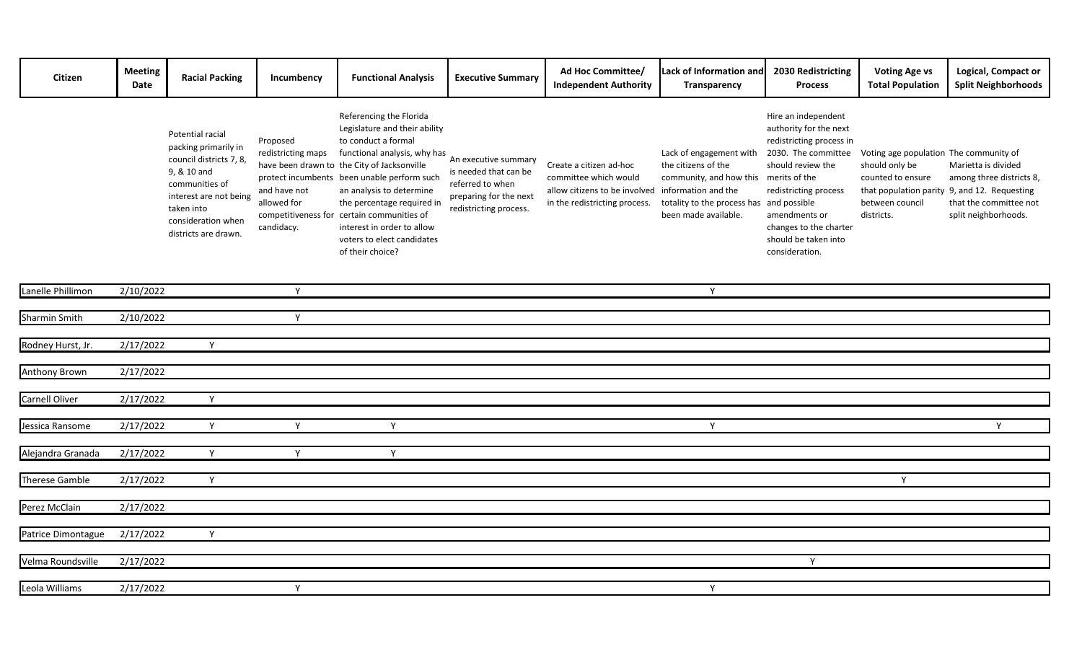| Citizen            | <b>Meeting</b><br>Date | <b>Racial Packing</b>                                                                                                                                                                      | Incumbency                                                                  | <b>Functional Analysis</b>                                                                                                                                                                                                                                                                                                                                                                            | <b>Executive Summary</b>                                                                                              | Ad Hoc Committee/<br><b>Independent Authority</b>                                                                  | Lack of Information and<br>Transparency                                                                                                                                            | 2030 Redistricting<br><b>Process</b>                                                                                                                                                                                                | <b>Voting Age vs</b><br><b>Total Population</b>                                                                | Logical, Compact or<br><b>Split Neighborhoods</b>                                                                                                 |
|--------------------|------------------------|--------------------------------------------------------------------------------------------------------------------------------------------------------------------------------------------|-----------------------------------------------------------------------------|-------------------------------------------------------------------------------------------------------------------------------------------------------------------------------------------------------------------------------------------------------------------------------------------------------------------------------------------------------------------------------------------------------|-----------------------------------------------------------------------------------------------------------------------|--------------------------------------------------------------------------------------------------------------------|------------------------------------------------------------------------------------------------------------------------------------------------------------------------------------|-------------------------------------------------------------------------------------------------------------------------------------------------------------------------------------------------------------------------------------|----------------------------------------------------------------------------------------------------------------|---------------------------------------------------------------------------------------------------------------------------------------------------|
|                    |                        | Potential racial<br>packing primarily in<br>council districts 7, 8,<br>9, & 10 and<br>communities of<br>interest are not being<br>taken into<br>consideration when<br>districts are drawn. | Proposed<br>redistricting maps<br>and have not<br>allowed for<br>candidacy. | Referencing the Florida<br>Legislature and their ability<br>to conduct a formal<br>functional analysis, why has<br>have been drawn to the City of Jacksonville<br>protect incumbents been unable perform such<br>an analysis to determine<br>the percentage required in<br>competitiveness for certain communities of<br>interest in order to allow<br>voters to elect candidates<br>of their choice? | An executive summary<br>is needed that can be<br>referred to when<br>preparing for the next<br>redistricting process. | Create a citizen ad-hoc<br>committee which would<br>allow citizens to be involved<br>in the redistricting process. | Lack of engagement with<br>the citizens of the<br>community, and how this merits of the<br>information and the<br>totality to the process has and possible<br>been made available. | Hire an independent<br>authority for the next<br>redistricting process in<br>2030. The committee<br>should review the<br>redistricting process<br>amendments or<br>changes to the charter<br>should be taken into<br>consideration. | Voting age population The community of<br>should only be<br>counted to ensure<br>between council<br>districts. | Marietta is divided<br>among three districts 8,<br>that population parity 9, and 12. Requesting<br>that the committee not<br>split neighborhoods. |
| Lanelle Phillimon  | 2/10/2022              |                                                                                                                                                                                            | Y                                                                           |                                                                                                                                                                                                                                                                                                                                                                                                       |                                                                                                                       |                                                                                                                    | Y                                                                                                                                                                                  |                                                                                                                                                                                                                                     |                                                                                                                |                                                                                                                                                   |
|                    |                        |                                                                                                                                                                                            |                                                                             |                                                                                                                                                                                                                                                                                                                                                                                                       |                                                                                                                       |                                                                                                                    |                                                                                                                                                                                    |                                                                                                                                                                                                                                     |                                                                                                                |                                                                                                                                                   |
| Sharmin Smith      | 2/10/2022              |                                                                                                                                                                                            | Y                                                                           |                                                                                                                                                                                                                                                                                                                                                                                                       |                                                                                                                       |                                                                                                                    |                                                                                                                                                                                    |                                                                                                                                                                                                                                     |                                                                                                                |                                                                                                                                                   |
| Rodney Hurst, Jr.  | 2/17/2022              | Y                                                                                                                                                                                          |                                                                             |                                                                                                                                                                                                                                                                                                                                                                                                       |                                                                                                                       |                                                                                                                    |                                                                                                                                                                                    |                                                                                                                                                                                                                                     |                                                                                                                |                                                                                                                                                   |
| Anthony Brown      | 2/17/2022              |                                                                                                                                                                                            |                                                                             |                                                                                                                                                                                                                                                                                                                                                                                                       |                                                                                                                       |                                                                                                                    |                                                                                                                                                                                    |                                                                                                                                                                                                                                     |                                                                                                                |                                                                                                                                                   |
|                    |                        |                                                                                                                                                                                            |                                                                             |                                                                                                                                                                                                                                                                                                                                                                                                       |                                                                                                                       |                                                                                                                    |                                                                                                                                                                                    |                                                                                                                                                                                                                                     |                                                                                                                |                                                                                                                                                   |
| Carnell Oliver     | 2/17/2022              | Y                                                                                                                                                                                          |                                                                             |                                                                                                                                                                                                                                                                                                                                                                                                       |                                                                                                                       |                                                                                                                    |                                                                                                                                                                                    |                                                                                                                                                                                                                                     |                                                                                                                |                                                                                                                                                   |
| Jessica Ransome    | 2/17/2022              | Y                                                                                                                                                                                          | Y                                                                           | Y                                                                                                                                                                                                                                                                                                                                                                                                     |                                                                                                                       |                                                                                                                    | Y                                                                                                                                                                                  |                                                                                                                                                                                                                                     |                                                                                                                | Y                                                                                                                                                 |
|                    |                        |                                                                                                                                                                                            |                                                                             |                                                                                                                                                                                                                                                                                                                                                                                                       |                                                                                                                       |                                                                                                                    |                                                                                                                                                                                    |                                                                                                                                                                                                                                     |                                                                                                                |                                                                                                                                                   |
| Alejandra Granada  | 2/17/2022              | Y                                                                                                                                                                                          | Y                                                                           | Y                                                                                                                                                                                                                                                                                                                                                                                                     |                                                                                                                       |                                                                                                                    |                                                                                                                                                                                    |                                                                                                                                                                                                                                     |                                                                                                                |                                                                                                                                                   |
|                    |                        |                                                                                                                                                                                            |                                                                             |                                                                                                                                                                                                                                                                                                                                                                                                       |                                                                                                                       |                                                                                                                    |                                                                                                                                                                                    |                                                                                                                                                                                                                                     |                                                                                                                |                                                                                                                                                   |
| Therese Gamble     | 2/17/2022              | Y                                                                                                                                                                                          |                                                                             |                                                                                                                                                                                                                                                                                                                                                                                                       |                                                                                                                       |                                                                                                                    |                                                                                                                                                                                    |                                                                                                                                                                                                                                     | Y                                                                                                              |                                                                                                                                                   |
| Perez McClain      | 2/17/2022              |                                                                                                                                                                                            |                                                                             |                                                                                                                                                                                                                                                                                                                                                                                                       |                                                                                                                       |                                                                                                                    |                                                                                                                                                                                    |                                                                                                                                                                                                                                     |                                                                                                                |                                                                                                                                                   |
|                    |                        |                                                                                                                                                                                            |                                                                             |                                                                                                                                                                                                                                                                                                                                                                                                       |                                                                                                                       |                                                                                                                    |                                                                                                                                                                                    |                                                                                                                                                                                                                                     |                                                                                                                |                                                                                                                                                   |
| Patrice Dimontague | 2/17/2022              | Y                                                                                                                                                                                          |                                                                             |                                                                                                                                                                                                                                                                                                                                                                                                       |                                                                                                                       |                                                                                                                    |                                                                                                                                                                                    |                                                                                                                                                                                                                                     |                                                                                                                |                                                                                                                                                   |
| Velma Roundsville  | 2/17/2022              |                                                                                                                                                                                            |                                                                             |                                                                                                                                                                                                                                                                                                                                                                                                       |                                                                                                                       |                                                                                                                    |                                                                                                                                                                                    | Y                                                                                                                                                                                                                                   |                                                                                                                |                                                                                                                                                   |
|                    |                        |                                                                                                                                                                                            |                                                                             |                                                                                                                                                                                                                                                                                                                                                                                                       |                                                                                                                       |                                                                                                                    |                                                                                                                                                                                    |                                                                                                                                                                                                                                     |                                                                                                                |                                                                                                                                                   |
| Leola Williams     | 2/17/2022              |                                                                                                                                                                                            | Y                                                                           |                                                                                                                                                                                                                                                                                                                                                                                                       |                                                                                                                       |                                                                                                                    | Y                                                                                                                                                                                  |                                                                                                                                                                                                                                     |                                                                                                                |                                                                                                                                                   |